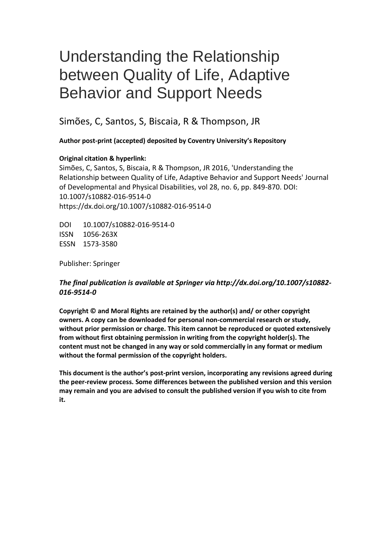# Understanding the Relationship between Quality of Life, Adaptive Behavior and Support Needs

Simões, C, Santos, S, Biscaia, R & Thompson, JR

**Author post-print (accepted) deposited by Coventry University's Repository**

# **Original citation & hyperlink:**

Simões, C, Santos, S, Biscaia, R & Thompson, JR 2016, 'Understanding the Relationship between Quality of Life, Adaptive Behavior and Support Needs' Journal of Developmental and Physical Disabilities, vol 28, no. 6, pp. 849-870. DOI: 10.1007/s10882-016-9514-0 https://dx.doi.org/10.1007/s10882-016-9514-0

DOI 10.1007/s10882-016-9514-0 ISSN 1056-263X ESSN 1573-3580

Publisher: Springer

# *The final publication is available at Springer via http://dx.doi.org/10.1007/s10882- 016-9514-0*

**Copyright © and Moral Rights are retained by the author(s) and/ or other copyright owners. A copy can be downloaded for personal non-commercial research or study, without prior permission or charge. This item cannot be reproduced or quoted extensively from without first obtaining permission in writing from the copyright holder(s). The content must not be changed in any way or sold commercially in any format or medium without the formal permission of the copyright holders.** 

**This document is the author's post-print version, incorporating any revisions agreed during the peer-review process. Some differences between the published version and this version may remain and you are advised to consult the published version if you wish to cite from it.**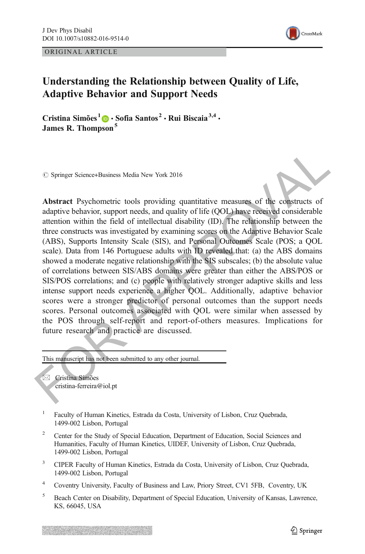ORIGINAL ARTICLE



# Understanding the Relationship between Quality of Life, Adaptive Behavior and Support Needs

Cristina Simões<sup>1</sup>  $\mathbf{D} \cdot$  Sofia Santos<sup>2</sup>  $\cdot$  Rui Biscaia<sup>3,4</sup>  $\cdot$ James R. Thompson<sup>5</sup>

 $\oslash$  Springer Science+Business Media New York 2016

C Springer Science+Business Media New York 2016<br>
Abstract Psychometric tools providing quantitative measures of the constructs of<br>
adaptive behavior, support needs, and quality of life (QOL) have received considerable<br>
at Abstract Psychometric tools providing quantitative measures of the constructs of adaptive behavior, support needs, and quality of life (QOL) have received considerable attention within the field of intellectual disability (ID). The relationship between the three constructs was investigated by examining scores on the Adaptive Behavior Scale (ABS), Supports Intensity Scale (SIS), and Personal Outcomes Scale (POS; a QOL scale). Data from 146 Portuguese adults with ID revealed that: (a) the ABS domains showed a moderate negative relationship with the SIS subscales; (b) the absolute value of correlations between SIS/ABS domains were greater than either the ABS/POS or SIS/POS correlations; and (c) people with relatively stronger adaptive skills and less intense support needs experience a higher QOL. Additionally, adaptive behavior scores were a stronger predictor of personal outcomes than the support needs scores. Personal outcomes associated with QOL were similar when assessed by the POS through self-report and report-of-others measures. Implications for future research and practice are discussed.

This manuscript has not been submitted to any other journal.

 $\triangleleft$  Cristina Simões cristina-ferreira@iol.pt

- <sup>1</sup> Faculty of Human Kinetics, Estrada da Costa, University of Lisbon, Cruz Quebrada, 1499-002 Lisbon, Portugal
- <sup>2</sup> Center for the Study of Special Education, Department of Education, Social Sciences and Humanities, Faculty of Human Kinetics, UIDEF, University of Lisbon, Cruz Quebrada, 1499-002 Lisbon, Portugal
- <sup>3</sup> CIPER Faculty of Human Kinetics, Estrada da Costa, University of Lisbon, Cruz Quebrada, 1499-002 Lisbon, Portugal
- <sup>4</sup> Coventry University, Faculty of Business and Law, Priory Street, CV1 5FB, Coventry, UK
- <sup>5</sup> Beach Center on Disability, Department of Special Education, University of Kansas, Lawrence, KS, 66045, USA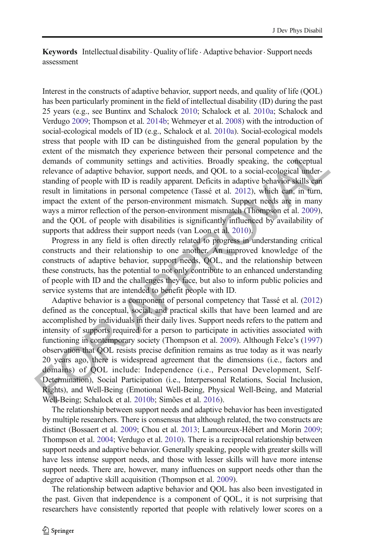**Keywords** Intellectual disability  $\cdot$  Quality of life  $\cdot$  Adaptive behavior  $\cdot$  Support needs assessment

Interest in the constructs of adaptive behavior, support needs, and quality of life (QOL) has been particularly prominent in the field of intellectual disability (ID) during the past 25 years (e.g., see Buntinx and Schalock 2010; Schalock et al. 2010a; Schalock and Verdugo 2009; Thompson et al. 2014b; Wehmeyer et al. 2008) with the introduction of social-ecological models of ID (e.g., Schalock et al. 2010a). Social-ecological models stress that people with ID can be distinguished from the general population by the extent of the mismatch they experience between their personal competence and the demands of community settings and activities. Broadly speaking, the conceptual relevance of adaptive behavior, support needs, and QOL to a social-ecological understanding of people with ID is readily apparent. Deficits in adaptive behavior skills can result in limitations in personal competence (Tassé et al. 2012), which can, in turn, impact the extent of the person-environment mismatch. Support needs are in many ways a mirror reflection of the person-environment mismatch (Thompson et al. 2009), and the QOL of people with disabilities is significantly influenced by availability of supports that address their support needs (van Loon et al. 2010).

Progress in any field is often directly related to progress in understanding critical constructs and their relationship to one another. An improved knowledge of the constructs of adaptive behavior, support needs, QOL, and the relationship between these constructs, has the potential to not only contribute to an enhanced understanding of people with ID and the challenges they face, but also to inform public policies and service systems that are intended to benefit people with ID.

exten of the mismatch they experience between their personal competence and the<br>demants of community settings and activities. Broadly speaking, the conceptual<br>relevance of adaptive behavior, support needs, and QOL to a soc Adaptive behavior is a component of personal competency that Tassé et al. (2012) defined as the conceptual, social, and practical skills that have been learned and are accomplished by individuals in their daily lives. Support needs refers to the pattern and intensity of supports required for a person to participate in activities associated with functioning in contemporary society (Thompson et al. 2009). Although Felce's (1997) observation that QOL resists precise definition remains as true today as it was nearly 20 years ago, there is widespread agreement that the dimensions (i.e., factors and domains) of QOL include: Independence (i.e., Personal Development, Self-Determination), Social Participation (i.e., Interpersonal Relations, Social Inclusion, Rights), and Well-Being (Emotional Well-Being, Physical Well-Being, and Material Well-Being; Schalock et al. 2010b; Simões et al. 2016).

The relationship between support needs and adaptive behavior has been investigated by multiple researchers. There is consensus that although related, the two constructs are distinct (Bossaert et al. 2009; Chou et al. 2013; Lamoureux-Hébert and Morin 2009; Thompson et al. 2004; Verdugo et al. 2010). There is a reciprocal relationship between support needs and adaptive behavior. Generally speaking, people with greater skills will have less intense support needs, and those with lesser skills will have more intense support needs. There are, however, many influences on support needs other than the degree of adaptive skill acquisition (Thompson et al. 2009).

The relationship between adaptive behavior and QOL has also been investigated in the past. Given that independence is a component of QOL, it is not surprising that researchers have consistently reported that people with relatively lower scores on a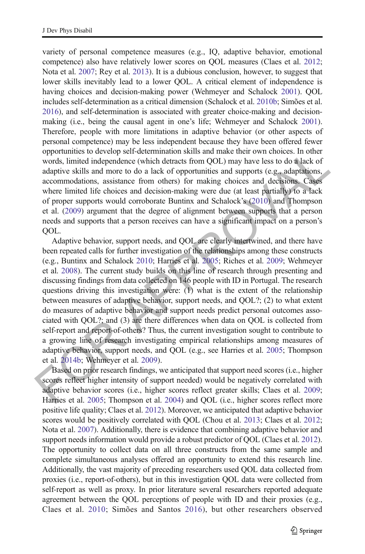variety of personal competence measures (e.g., IQ, adaptive behavior, emotional competence) also have relatively lower scores on QOL measures (Claes et al. 2012; Nota et al. 2007; Rey et al. 2013). It is a dubious conclusion, however, to suggest that lower skills inevitably lead to a lower QOL. A critical element of independence is having choices and decision-making power (Wehmeyer and Schalock 2001). QOL includes self-determination as a critical dimension (Schalock et al. 2010b; Simões et al. 2016), and self-determination is associated with greater choice-making and decisionmaking (i.e., being the causal agent in one's life; Wehmeyer and Schalock 2001). Therefore, people with more limitations in adaptive behavior (or other aspects of personal competence) may be less independent because they have been offered fewer opportunities to develop self-determination skills and make their own choices. In other words, limited independence (which detracts from QOL) may have less to do a lack of adaptive skills and more to do a lack of opportunities and supports (e.g., adaptations, accommodations, assistance from others) for making choices and decisions. Cases where limited life choices and decision-making were due (at least partially) to a lack of proper supports would corroborate Buntinx and Schalock's (2010) and Thompson et al. (2009) argument that the degree of alignment between supports that a person needs and supports that a person receives can have a significant impact on a person's QOL.

opportunities to develop self-determination skills and make their own choices. In other words, limited independence (which deterats from QOL) may have less to do a lack of approximations, assistance from others) for making Adaptive behavior, support needs, and QOL are clearly intertwined, and there have been repeated calls for further investigation of the relationships among these constructs (e.g., Buntinx and Schalock 2010; Harries et al. 2005; Riches et al. 2009; Wehmeyer et al. 2008). The current study builds on this line of research through presenting and discussing findings from data collected on 146 people with ID in Portugal. The research questions driving this investigation were: (1) what is the extent of the relationship between measures of adaptive behavior, support needs, and QOL?; (2) to what extent do measures of adaptive behavior and support needs predict personal outcomes associated with QOL?; and (3) are there differences when data on QOL is collected from self-report and report-of-others? Thus, the current investigation sought to contribute to a growing line of research investigating empirical relationships among measures of adaptive behavior, support needs, and QOL (e.g., see Harries et al. 2005; Thompson et al. 2014b; Wehmeyer et al. 2009).

Based on prior research findings, we anticipated that support need scores (i.e., higher scores reflect higher intensity of support needed) would be negatively correlated with adaptive behavior scores (i.e., higher scores reflect greater skills; Claes et al. 2009; Harries et al. 2005; Thompson et al. 2004) and QOL (i.e., higher scores reflect more positive life quality; Claes et al. 2012). Moreover, we anticipated that adaptive behavior scores would be positively correlated with QOL (Chou et al. 2013; Claes et al. 2012; Nota et al. 2007). Additionally, there is evidence that combining adaptive behavior and support needs information would provide a robust predictor of QOL (Claes et al. 2012). The opportunity to collect data on all three constructs from the same sample and complete simultaneous analyses offered an opportunity to extend this research line. Additionally, the vast majority of preceding researchers used QOL data collected from proxies (i.e., report-of-others), but in this investigation QOL data were collected from self-report as well as proxy. In prior literature several researchers reported adequate agreement between the QOL perceptions of people with ID and their proxies (e.g., Claes et al. 2010; Simões and Santos 2016), but other researchers observed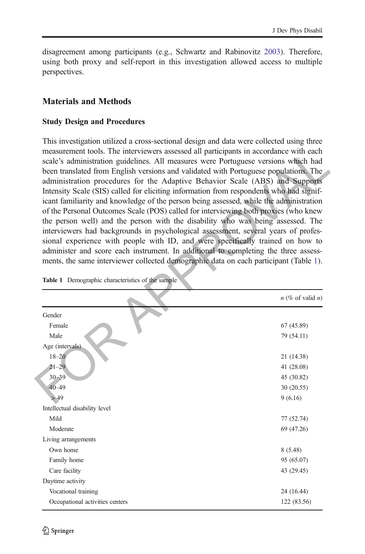disagreement among participants (e.g., Schwartz and Rabinovitz 2003). Therefore, using both proxy and self-report in this investigation allowed access to multiple perspectives.

# Materials and Methods

## Study Design and Procedures

measurement tools. The interviewers assessed all participants in accordance with each<br>
scale's administration guidelines. All measures were Portuguese versions which had<br>
been translated from English versions and validate This investigation utilized a cross-sectional design and data were collected using three measurement tools. The interviewers assessed all participants in accordance with each scale's administration guidelines. All measures were Portuguese versions which had been translated from English versions and validated with Portuguese populations. The administration procedures for the Adaptive Behavior Scale (ABS) and Supports Intensity Scale (SIS) called for eliciting information from respondents who had significant familiarity and knowledge of the person being assessed, while the administration of the Personal Outcomes Scale (POS) called for interviewing both proxies (who knew the person well) and the person with the disability who was being assessed. The interviewers had backgrounds in psychological assessment, several years of professional experience with people with ID, and were specifically trained on how to administer and score each instrument. In additional to completing the three assessments, the same interviewer collected demographic data on each participant (Table 1).

|                                 | $n$ (% of valid $n$ ) |
|---------------------------------|-----------------------|
| Gender                          |                       |
| Female                          | 67(45.89)             |
| Male                            | 79 (54.11)            |
| Age (intervals)                 |                       |
| $18 - 20$                       | 21 (14.38)            |
| $21 - 29$                       | 41 (28.08)            |
| $30 - 39$                       | 45 (30.82)            |
| $40 - 49$                       | 30 (20.55)            |
| > 49                            | 9(6.16)               |
| Intellectual disability level   |                       |
| Mild                            | 77 (52.74)            |
| Moderate                        | 69 (47.26)            |
| Living arrangements             |                       |
| Own home                        | 8(5.48)               |
| Family home                     | 95 (65.07)            |
| Care facility                   | 43 (29.45)            |
| Daytime activity                |                       |
| Vocational training             | 24 (16.44)            |
| Occupational activities centers | 122 (83.56)           |

Table 1 Demographic characteristics of the sample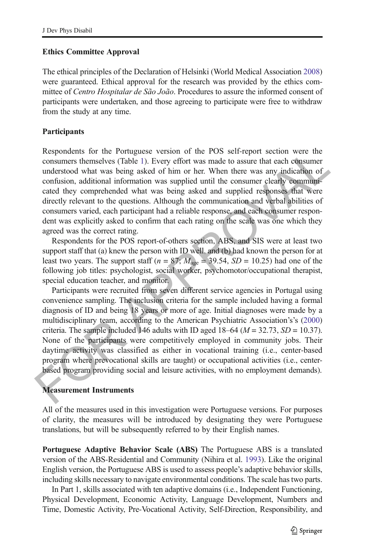#### Ethics Committee Approval

The ethical principles of the Declaration of Helsinki (World Medical Association 2008) were guaranteed. Ethical approval for the research was provided by the ethics committee of Centro Hospitalar de São João. Procedures to assure the informed consent of participants were undertaken, and those agreeing to participate were free to withdraw from the study at any time.

#### Participants

Respondents for the Portuguese version of the POS self-report section were the consumers themselves (Table 1). Every effort was made to assure that each consumer understood what was being asked of him or her. When there was any indication of confusion, additional information was supplied until the consumer clearly communicated they comprehended what was being asked and supplied responses that were directly relevant to the questions. Although the communication and verbal abilities of consumers varied, each participant had a reliable response, and each consumer respondent was explicitly asked to confirm that each rating on the scale was one which they agreed was the correct rating.

Respondents for the POS report-of-others section, ABS, and SIS were at least two support staff that (a) knew the person with ID well, and (b) had known the person for at least two years. The support staff ( $n = 87$ ;  $M_{\text{age}} = 39.54$ ,  $SD = 10.25$ ) had one of the following job titles: psychologist, social worker, psychomotor/occupational therapist, special education teacher, and monitor.

Respondents for the Portuguese version of the POS self-report section were the unsurence threselves (Table 1). Every effort was made to assume that each consumer understood what was being asked of him or her. When there w Participants were recruited from seven different service agencies in Portugal using convenience sampling. The inclusion criteria for the sample included having a formal diagnosis of ID and being 18 years or more of age. Initial diagnoses were made by a multidisciplinary team, according to the American Psychiatric Association's's (2000) criteria. The sample included 146 adults with ID aged 18–64 ( $M = 32.73$ ,  $SD = 10.37$ ). None of the participants were competitively employed in community jobs. Their daytime activity was classified as either in vocational training (i.e., center-based program where prevocational skills are taught) or occupational activities (i.e., centerbased program providing social and leisure activities, with no employment demands).

#### Measurement Instruments

All of the measures used in this investigation were Portuguese versions. For purposes of clarity, the measures will be introduced by designating they were Portuguese translations, but will be subsequently referred to by their English names.

Portuguese Adaptive Behavior Scale (ABS) The Portuguese ABS is a translated version of the ABS-Residential and Community (Nihira et al. 1993). Like the original English version, the Portuguese ABS is used to assess people's adaptive behavior skills, including skills necessary to navigate environmental conditions. The scale has two parts.

In Part 1, skills associated with ten adaptive domains (i.e., Independent Functioning, Physical Development, Economic Activity, Language Development, Numbers and Time, Domestic Activity, Pre-Vocational Activity, Self-Direction, Responsibility, and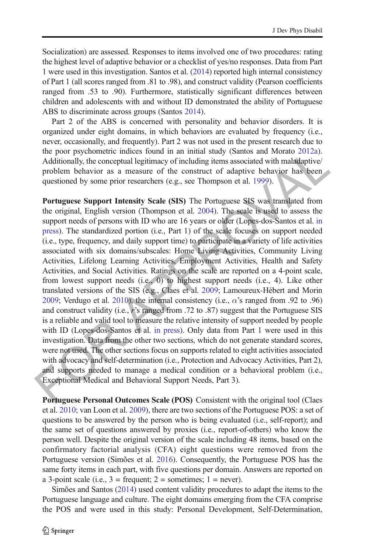Socialization) are assessed. Responses to items involved one of two procedures: rating the highest level of adaptive behavior or a checklist of yes/no responses. Data from Part 1 were used in this investigation. Santos et al. (2014) reported high internal consistency of Part 1 (all scores ranged from .81 to .98), and construct validity (Pearson coefficients ranged from .53 to .90). Furthermore, statistically significant differences between children and adolescents with and without ID demonstrated the ability of Portuguese ABS to discriminate across groups (Santos 2014).

Part 2 of the ABS is concerned with personality and behavior disorders. It is organized under eight domains, in which behaviors are evaluated by frequency (i.e., never, occasionally, and frequently). Part 2 was not used in the present research due to the poor psychometric indices found in an initial study (Santos and Morato 2012a). Additionally, the conceptual legitimacy of including items associated with maladaptive/ problem behavior as a measure of the construct of adaptive behavior has been questioned by some prior researchers (e.g., see Thompson et al. 1999).

the poor psychometric indices found in an initial study (Santos and Morato 2012a).<br>Additionally, the conceptual ligitimacy of including items associated with makedapive<br>problem behavior as a measure of the construct of ad Portuguese Support Intensity Scale (SIS) The Portuguese SIS was translated from the original, English version (Thompson et al. 2004). The scale is used to assess the support needs of persons with ID who are 16 years or older (Lopes-dos-Santos et al. in press). The standardized portion (i.e., Part 1) of the scale focuses on support needed (i.e., type, frequency, and daily support time) to participate in a variety of life activities associated with six domains/subscales: Home Living Activities, Community Living Activities, Lifelong Learning Activities, Employment Activities, Health and Safety Activities, and Social Activities. Ratings on the scale are reported on a 4-point scale, from lowest support needs (i.e., 0) to highest support needs (i.e., 4). Like other translated versions of the SIS (e.g., Claes et al. 2009; Lamoureux-Hébert and Morin 2009; Verdugo et al. 2010), the internal consistency (i.e.,  $\alpha$ 's ranged from .92 to .96) and construct validity (i.e., r's ranged from .72 to .87) suggest that the Portuguese SIS is a reliable and valid tool to measure the relative intensity of support needed by people with ID (Lopes-dos-Santos et al. in press). Only data from Part 1 were used in this investigation. Data from the other two sections, which do not generate standard scores, were not used. The other sections focus on supports related to eight activities associated with advocacy and self-determination (i.e., Protection and Advocacy Activities, Part 2), and supports needed to manage a medical condition or a behavioral problem (i.e., Exceptional Medical and Behavioral Support Needs, Part 3).

Portuguese Personal Outcomes Scale (POS) Consistent with the original tool (Claes et al. 2010; van Loon et al. 2009), there are two sections of the Portuguese POS: a set of questions to be answered by the person who is being evaluated (i.e., self-report); and the same set of questions answered by proxies (i.e., report-of-others) who know the person well. Despite the original version of the scale including 48 items, based on the confirmatory factorial analysis (CFA) eight questions were removed from the Portuguese version (Simões et al. 2016). Consequently, the Portuguese POS has the same forty items in each part, with five questions per domain. Answers are reported on a 3-point scale (i.e.,  $3 =$  frequent;  $2 =$  sometimes;  $1 =$  never).

Simões and Santos (2014) used content validity procedures to adapt the items to the Portuguese language and culture. The eight domains emerging from the CFA comprise the POS and were used in this study: Personal Development, Self-Determination,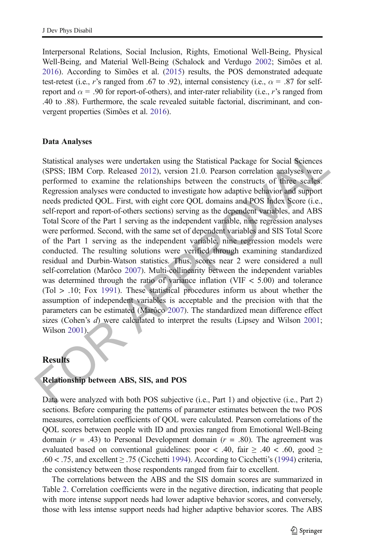Interpersonal Relations, Social Inclusion, Rights, Emotional Well-Being, Physical Well-Being, and Material Well-Being (Schalock and Verdugo 2002; Simões et al. 2016). According to Simões et al. (2015) results, the POS demonstrated adequate test-retest (i.e., r's ranged from .67 to .92), internal consistency (i.e.,  $\alpha = .87$  for selfreport and  $\alpha$  = .90 for report-of-others), and inter-rater reliability (i.e., r's ranged from .40 to .88). Furthermore, the scale revealed suitable factorial, discriminant, and convergent properties (Simões et al. 2016).

#### Data Analyses

Statistical analyses were undertaken using the Statistical Package for Social Sciences<br>
(SPSS; IBM Corp. Released 2012), version 21.0. Pearson correlation analyses were<br>
performed to examine the relationships between the Statistical analyses were undertaken using the Statistical Package for Social Sciences (SPSS; IBM Corp. Released 2012), version 21.0. Pearson correlation analyses were performed to examine the relationships between the constructs of three scales. Regression analyses were conducted to investigate how adaptive behavior and support needs predicted QOL. First, with eight core QOL domains and POS Index Score (i.e., self-report and report-of-others sections) serving as the dependent variables, and ABS Total Score of the Part 1 serving as the independent variable, nine regression analyses were performed. Second, with the same set of dependent variables and SIS Total Score of the Part 1 serving as the independent variable, nine regression models were conducted. The resulting solutions were verified through examining standardized residual and Durbin-Watson statistics. Thus, scores near 2 were considered a null self-correlation (Marôco 2007). Multi-collinearity between the independent variables was determined through the ratio of variance inflation (VIF  $<$  5.00) and tolerance (Tol > .10; Fox 1991). These statistical procedures inform us about whether the assumption of independent variables is acceptable and the precision with that the parameters can be estimated (Marôco 2007). The standardized mean difference effect sizes (Cohen's d) were calculated to interpret the results (Lipsey and Wilson 2001; Wilson 2001).

## **Results**

#### Relationship between ABS, SIS, and POS

Data were analyzed with both POS subjective (i.e., Part 1) and objective (i.e., Part 2) sections. Before comparing the patterns of parameter estimates between the two POS measures, correlation coefficients of QOL were calculated. Pearson correlations of the QOL scores between people with ID and proxies ranged from Emotional Well-Being domain  $(r = .43)$  to Personal Development domain  $(r = .80)$ . The agreement was evaluated based on conventional guidelines: poor < .40, fair  $\geq$  .40 < .60, good  $\geq$ .60 < .75, and excellent  $\geq$  .75 (Cicchetti 1994). According to Cicchetti's (1994) criteria, the consistency between those respondents ranged from fair to excellent.

The correlations between the ABS and the SIS domain scores are summarized in Table 2. Correlation coefficients were in the negative direction, indicating that people with more intense support needs had lower adaptive behavior scores, and conversely, those with less intense support needs had higher adaptive behavior scores. The ABS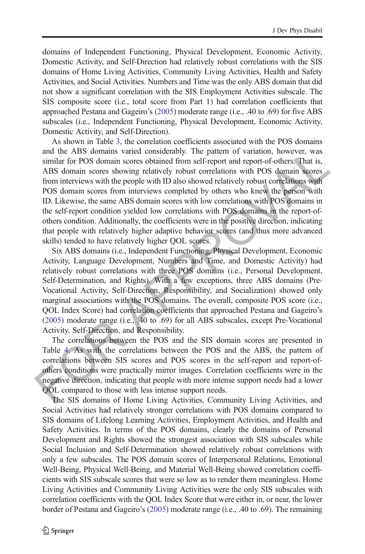domains of Independent Functioning, Physical Development, Economic Activity, Domestic Activity, and Self-Direction had relatively robust correlations with the SIS domains of Home Living Activities, Community Living Activities, Health and Safety Activities, and Social Activities. Numbers and Time was the only ABS domain that did not show a significant correlation with the SIS Employment Activities subscale. The SIS composite score (i.e., total score from Part 1) had correlation coefficients that approached Pestana and Gageiro's (2005) moderate range (i.e., .40 to .69) for five ABS subscales (i.e., Independent Functioning, Physical Development, Economic Activity, Domestic Activity, and Self-Direction).

and the ABS domains varied considerably. The pattern of variation, however, was similar for POS domain scores obtained from self-report and report-of-others. That is, ABS domain scores showing relatively robust correlatio As shown in Table 3, the correlation coefficients associated with the POS domains and the ABS domains varied considerably. The pattern of variation, however, was similar for POS domain scores obtained from self-report and report-of-others. That is, ABS domain scores showing relatively robust correlations with POS domain scores from interviews with the people with ID also showed relatively robust correlations with POS domain scores from interviews completed by others who knew the person with ID. Likewise, the same ABS domain scores with low correlations with POS domains in the self-report condition yielded low correlations with POS domains in the report-ofothers condition. Additionally, the coefficients were in the positive direction, indicating that people with relatively higher adaptive behavior scores (and thus more advanced skills) tended to have relatively higher QOL scores.

Six ABS domains (i.e., Independent Functioning, Physical Development, Economic Activity, Language Development, Numbers and Time, and Domestic Activity) had relatively robust correlations with three POS domains (i.e., Personal Development, Self-Determination, and Rights). With a few exceptions, three ABS domains (Pre-Vocational Activity, Self-Direction, Responsibility, and Socialization) showed only marginal associations with the POS domains. The overall, composite POS score (i.e., QOL Index Score) had correlation coefficients that approached Pestana and Gageiro's (2005) moderate range (i.e., .40 to .69) for all ABS subscales, except Pre-Vocational Activity, Self-Direction, and Responsibility.

The correlations between the POS and the SIS domain scores are presented in Table 4. As with the correlations between the POS and the ABS, the pattern of correlations between SIS scores and POS scores in the self-report and report-ofothers conditions were practically mirror images. Correlation coefficients were in the negative direction, indicating that people with more intense support needs had a lower QOL compared to those with less intense support needs.

The SIS domains of Home Living Activities, Community Living Activities, and Social Activities had relatively stronger correlations with POS domains compared to SIS domains of Lifelong Learning Activities, Employment Activities, and Health and Safety Activities. In terms of the POS domains, clearly the domains of Personal Development and Rights showed the strongest association with SIS subscales while Social Inclusion and Self-Determination showed relatively robust correlations with only a few subscales. The POS domain scores of Interpersonal Relations, Emotional Well-Being, Physical Well-Being, and Material Well-Being showed correlation coefficients with SIS subscale scores that were so low as to render them meaningless. Home Living Activities and Community Living Activities were the only SIS subscales with correlation coefficients with the QOL Index Score that were either in, or near, the lower border of Pestana and Gageiro's (2005) moderate range (i.e., .40 to .69). The remaining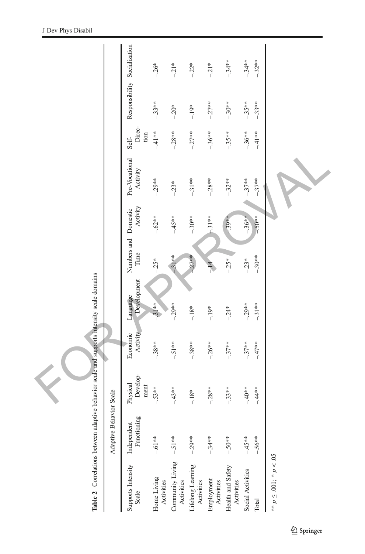|                                 | Adaptive Behavior Scale    |                              |                      |                         |                              |          |                            |                         |                              |         |
|---------------------------------|----------------------------|------------------------------|----------------------|-------------------------|------------------------------|----------|----------------------------|-------------------------|------------------------------|---------|
| Supports Intensity<br>Scale     | Functioning<br>Independent | Develop-<br>Physical<br>ment | Economic<br>Activity | Development<br>Language | Numbers and Domestic<br>Time | Activity | Pre-Vocational<br>Activity | Direc-<br>tion<br>Self- | Responsibility Socialization |         |
| Home Living<br>Activities       | $-.61**$                   | $-53**$                      | $-38**$              | $-31**$                 | $-25*$                       | $-62**$  | $-29**$                    | $-41**$                 | $-33**$                      | $-26*$  |
| Community Living<br>Activities  | $-51**$                    | $-43**$                      | $-51**$              | $-29**$                 | $-31**$                      | $-45**$  | $-23*$                     | $-28**$                 | $-20*$                       | $-21*$  |
| Lifelong Learning<br>Activities | $-29**$                    | $-18*$                       | $-38**$              | $-18*$                  | $-27**$                      | $-30**$  | $-31**$                    | $-27**$                 | $-19*$                       | $-22*$  |
| Employment<br>Activities        | $-34**$                    | $-28**$                      | $-26**$              | $-19*$                  | $-14$                        | $+31**$  | $-28**$                    | $-.36**$                | $-27**$                      | $-21*$  |
| Health and Safety<br>Activities | $-50**$                    | $-33**$                      | $-37**$              | $-24*$                  | $-.25*$                      | $39**$   | $-32**$                    | $-.35***$               | $-30**$                      | $-34**$ |
| Social Activities               | $-45***$                   | $-40$ **                     | $-37**$              | $-29**$                 | $-23*$                       | $-36**$  | $-37**$                    | $-36**$                 | $-.35***$                    | $-34**$ |
| Total                           | $-56**$                    | $-44*$                       | $-47**$              | $-31**$                 | $-30**$                      | $-50**$  | $-37**$                    | $-41**$                 | $-33**$                      | $-32**$ |
| ** $p \le 0.001$ ; * $p < 0.05$ |                            |                              |                      |                         |                              |          |                            |                         |                              |         |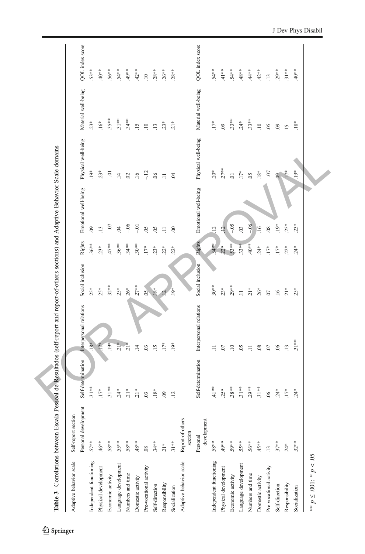| Table 3 Correlations between Escala |                             |                    | Pessoal de Resultados (self-report and report-of-others sections) and Adaptive Behavior Scale domains |                  |         |                      |                        |                     |                 |
|-------------------------------------|-----------------------------|--------------------|-------------------------------------------------------------------------------------------------------|------------------|---------|----------------------|------------------------|---------------------|-----------------|
| Adaptive behavior scale             | Self-report section         |                    |                                                                                                       |                  |         |                      |                        |                     |                 |
|                                     | Personal development        | Self-determination | Interpersonal relations                                                                               | Social inclusion | Rights  | Emotional well-being | Physical well-being    | Material well-being | QOL index score |
| Independent functioning             | $.57***$                    | $31***$            | $18*$                                                                                                 | $25*$            | $36***$ | $\overline{0}$       | $.19*$                 | $23*$               | $53**$          |
| Physical development                | $46**$                      | $.17*$             | $.17*$                                                                                                | $.25*$           | $.23*$  | $\overline{13}$      | $.23*$                 | $.16*$              | $40*$           |
| Economic activity                   | $.58**$                     | $31**$             | $.19*$                                                                                                | $32**$           | $47**$  | $-0$                 | $-0.1$                 | $35***$             | $56***$         |
| Language development                | 55**                        | $.24*$             | $21*$                                                                                                 | $.25*$           | $36***$ | $\overline{6}$       | $\vec{=}$              | $31**$              | 54**            |
| Numbers and time                    | $58**$                      | $.21*$             | $.21*$                                                                                                | $.26*$           | $34**$  | $-0.06$              | $\mathfrak{S}$         | $.34**$             | $49**$          |
| Domestic activity                   | $48**$                      | $.21*$             | $\overline{14}$                                                                                       | $27**$           | $30**$  | $-0$                 | $\overline{16}$        | $\ddot{ }$          | $42**$          |
| Pre-vocational activity             | .08                         | 03                 | $\ddot{\circ}$                                                                                        | 05 <sub>1</sub>  | $.17*$  | 05                   | $-12$                  | $\overline{10}$     | $\ddot{=}$      |
| Self-direction                      | $34***$                     | $.18*$             | $\overline{.15}$                                                                                      | $18^*$           | $23*$   | 05                   | 06                     | $\overline{13}$     | $.28***$        |
| Responsibility                      | $21*$                       | $\odot$            | $.17*$                                                                                                |                  | $.22*$  | $\Xi$                | $\Xi$                  | $.23*$              | $26***$         |
| Socialization                       | $.31***$                    | $\overline{12}$    | $.19*$                                                                                                | $19*$            | $.22*$  | $\infty$             | Ŕ                      | $21*$               | $28**$          |
| Adaptive behavior scale             | Report-of-others<br>section |                    |                                                                                                       |                  |         |                      |                        |                     |                 |
|                                     | development<br>Personal     | Self-determination | Interpersonal relations                                                                               | Social inclusion | Rights  | Emotional well-being | Physical well-being    | Material well-being | QOL index score |
| Independent functioning             | $.58***$                    | $41**$             | Ξ                                                                                                     | $30**$           | $34**$  | $\overline{12}$      | $20*$                  | $.17*$              | 54**            |
| Physical development                | 49**                        | $.25*$             | S.                                                                                                    | $.23*$           | $22*$   | H.                   | $27**$                 | $\overline{0}$      | $41*$           |
| Economic activity                   | $59**$                      | $38***$            | $\Xi$                                                                                                 | $29**$           | $53**$  | $-0.5$               | $\Xi$                  | $33***$             | $54**$          |
| Language development                | 55**                        | $31***$            | $\rm 50$                                                                                              | $\Xi$            | $33**$  | $\ddot{\circ}$       | $.17*$                 | $.24*$              | $48***$         |
| Numbers and time                    | $56**$                      | $29***$            | $\Xi$                                                                                                 | $\frac{1}{2}$    | $40**$  | $-06$                | $\mathcal{S}$          | $33**$              | $44*$           |
| Domestic activity                   | $45**$                      | $31***$            | $\overline{08}$                                                                                       | $.26*$           | $24*$   | $-16$                | $\,18^*\,$             | $\Xi$               | $42**$          |
| Pre-vocational activity             | $\overline{13}$             | .06                | 07                                                                                                    | $\rm 00$         | $.17*$  | $\approx$            | $-0$                   | $\overline{0}$      | $\overline{13}$ |
| Self-direction                      | $37***$                     | $.24*$             | $\approx$                                                                                             | $\ddot{=}$       | $.17*$  | $.19*$               | $\Theta$               | $\overline{0}$      | $29**$          |
| Responsibility                      | $.24*$                      | .I7*               | $\ddot{=}$                                                                                            | $.21*$           | $22*$   | $.25*$               | $\tilde{\mathbb{D}}^*$ | $\overline{15}$     | $31**$          |
| Socialization                       | $32**$                      | $.24*$             | $31**$                                                                                                | $25*$            | $24*$   | $.23*$               | $.19*$                 | $.18*$              | $^{*}$          |
| ** $p \le 0.001$ ; * $p < 0.05$     |                             |                    |                                                                                                       |                  |         |                      |                        |                     |                 |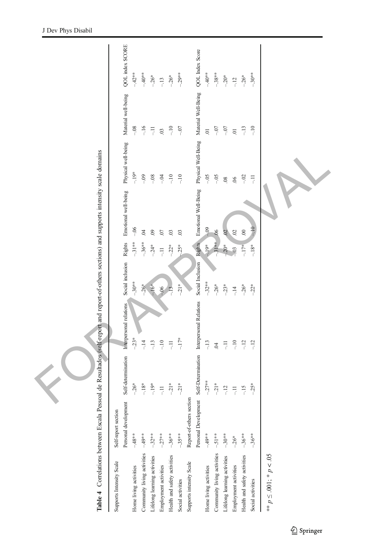| Table 4 Correlations between Escala |                             |                    | Pessoal de Resultados (self-report and report-of-others sections) and supports intensity scale domains |                  |                  |                      |                          |                      |                 |
|-------------------------------------|-----------------------------|--------------------|--------------------------------------------------------------------------------------------------------|------------------|------------------|----------------------|--------------------------|----------------------|-----------------|
| Supports Intensity Scale            | Self-report section         |                    |                                                                                                        |                  |                  |                      |                          |                      |                 |
|                                     | Personal development        | Self-determination | Interpersonal relations                                                                                | Social inclusion | Rights           | Emotional well-being | Physical well-being      | Material well-being  | QOL index SCORE |
| Home living activities              | $-48**$                     | $-26*$             | $-23*$                                                                                                 | $-30**$          | $-31**$          | $-06$                | $-19*$                   | $-0.8$               | $-42**$         |
| Community living activities         | $-49**$                     | $-18*$             | $-14$                                                                                                  | $-26*$           | $-.36**$         | $\overline{0}$       | $-0.9$                   | $-16$                | $-40**$         |
| Lifelong learning activities        | $-32**$                     | $-19*$             | $-13$                                                                                                  | $-16*$           | $-24*$           | $\overline{0}$       | $-0.8$                   | $\frac{1}{\epsilon}$ | $-26*$          |
| Employment activities               | $-.27**$                    | $\frac{1}{1}$      | $-10$                                                                                                  | $-06$            | $\overline{a}$   | $\rm C$              | $-0.4$                   | $\overline{0}$       | $-13$           |
| Health and safety activities        | $-.36**$                    | $-21*$             | $\overline{a}$                                                                                         | $\frac{25}{1}$   | $-22*$           | 03                   | $-10$                    | $-10$                | $-0.26*$        |
| Social activities                   | $-.35***$                   | $-21*$             | $-17*$                                                                                                 | $-21*$           | $-25*$           | 03                   | $-10$                    | $-07$                | $-29**$         |
| Supports intensity Scale            | section<br>Report-of-others |                    |                                                                                                        |                  |                  |                      |                          |                      |                 |
|                                     | Personal Development        | Self-Determination | Interpersonal Relations                                                                                | Social Inclusion | Rights           | Emotional Well-Being | Physical Well-Being      | Material Well-Being  | QOL Index Score |
| Home living activities              | $-49**$                     | $-.27**$           | $-13$                                                                                                  | $-32**$          | $\sum_{i=1}^{8}$ | $-99$                | $-0.5$                   | $\overline{0}$       | $-40*$          |
| Community living activities         | $-.51**$                    | $-21*$             | g.                                                                                                     | $-26*$           | $-31**$          | .06                  | $-0.5$                   | $-0$                 | $-38**$         |
| Lifelong learning activities        | $-30**$                     | $-12$              | $\overline{a}$                                                                                         | $-23*$           | $-20*$           | $\overline{50}$      | $\overline{\mathcal{S}}$ | $-0$                 | $-0.20*$        |
| Employment activities               | $-26*$                      | $\overline{a}$     | $-10$                                                                                                  | $-14$            | $-03$            | $\mathfrak{S}$       | $\sim$                   | $\overline{\circ}$   | $-12$           |
| Health and safety activities        | $-.36***$                   | $-15$              | $-12$                                                                                                  | $-26*$           | $-17*$           | $\odot$              | $-02$                    | $-13$                | $-26*$          |
| Social activities                   | $-36**$                     | $-25*$             | $-12$                                                                                                  | $-22*$           | $-18*$           | Î                    | Ę                        | $-10$                | $-30**$         |
| ** $p \le 0.001$ ; * $p < 0.05$     |                             |                    |                                                                                                        |                  |                  |                      |                          |                      |                 |
|                                     |                             |                    |                                                                                                        |                  |                  |                      |                          |                      |                 |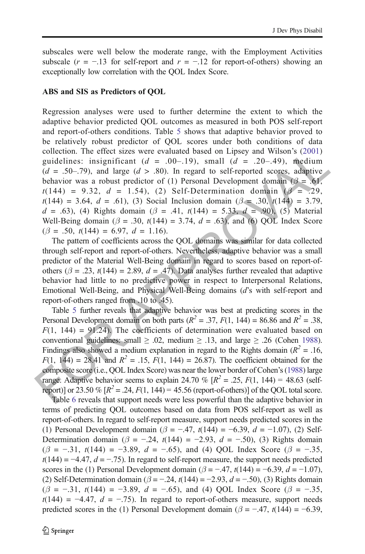subscales were well below the moderate range, with the Employment Activities subscale  $(r = -13$  for self-report and  $r = -12$  for report-of-others) showing an exceptionally low correlation with the QOL Index Score.

#### ABS and SIS as Predictors of QOL

Regression analyses were used to further determine the extent to which the adaptive behavior predicted QOL outcomes as measured in both POS self-report and report-of-others conditions. Table 5 shows that adaptive behavior proved to be relatively robust predictor of QOL scores under both conditions of data collection. The effect sizes were evaluated based on Lipsey and Wilson's (2001) guidelines: insignificant  $(d = .00-.19)$ , small  $(d = .20-.49)$ , medium  $(d = .50-.79)$ , and large  $(d > .80)$ . In regard to self-reported scores, adaptive behavior was a robust predictor of (1) Personal Development domain ( $\beta = .61$ ,  $t(144) = 9.32, d = 1.54, (2)$  Self-Determination domain  $(\beta = .29,$  $t(144) = 3.64, d = .61, (3)$  Social Inclusion domain  $(\beta = .30, t(144) = 3.79,$  $d = .63$ ), (4) Rights domain ( $\beta = .41$ ,  $t(144) = 5.33$ ,  $d = .90$ ), (5) Material Well-Being domain ( $\beta$  = .30, t(144) = 3.74, d = .63), and (6) QOL Index Score  $(\beta = .50, t(144) = 6.97, d = 1.16).$ 

The pattern of coefficients across the QOL domains was similar for data collected through self-report and report-of-others. Nevertheless, adaptive behavior was a small predictor of the Material Well-Being domain in regard to scores based on report-ofothers ( $\beta$  = .23, t(144) = 2.89, d = .47). Data analyses further revealed that adaptive behavior had little to no predictive power in respect to Interpersonal Relations, Emotional Well-Being, and Physical Well-Being domains (d's with self-report and report-of-others ranged from .10 to .45).

collection. The effect sizes were evaluated based on Lipsey and Wilson's (2001)<br>guidelines: insignificant ( $d = .00-19$ ), small  $(d = .50-79)$ , and large ( $d > .00$ ). In regard to self-reported scotes, adaptive<br>behavior was a ro Table 5 further reveals that adaptive behavior was best at predicting scores in the Personal Development domain on both parts ( $R^2 = .37$ ,  $F(1, 144) = 86.86$  and  $R^2 = .38$ ,  $F(1, 144) = 91.24$ . The coefficients of determination were evaluated based on conventional guidelines: small  $\geq$  .02, medium  $\geq$  .13, and large  $\geq$  .26 (Cohen 1988). Findings also showed a medium explanation in regard to the Rights domain ( $R^2 = .16$ ,  $F(1, 144) = 28.41$  and  $R^2 = .15$ ,  $F(1, 144) = 26.87$ ). The coefficient obtained for the composite score (i.e., QOL Index Score) was near the lower border of Cohen's (1988) large range. Adaptive behavior seems to explain 24.70 %  $\lceil R^2 = .25, F(1, 144) = 48.63$  (selfreport)] or 23.50 %  $[R^2 = .24, F(1, 144) = 45.56$  (report-of-others)] of the QOL total score.

Table 6 reveals that support needs were less powerful than the adaptive behavior in terms of predicting QOL outcomes based on data from POS self-report as well as report-of-others. In regard to self-report measure, support needs predicted scores in the (1) Personal Development domain ( $\beta = -.47$ ,  $t(144) = -6.39$ ,  $d = -1.07$ ), (2) Self-Determination domain ( $\beta = -.24$ , t(144) = −2.93, d = −.50), (3) Rights domain  $(\beta = -.31, t(144) = -3.89, d = -.65)$ , and (4) QOL Index Score ( $\beta = -.35$ ,  $t(144) = -4.47$ ,  $d = -0.75$ ). In regard to self-report measure, the support needs predicted scores in the (1) Personal Development domain ( $\beta$  = -.47, t(144) = -6.39, d = -1.07), (2) Self-Determination domain ( $\beta = -.24$ ,  $t(144) = -2.93$ ,  $d = -.50$ ), (3) Rights domain  $(\beta = -0.31, t(144) = -3.89, d = -0.65)$ , and (4) QOL Index Score  $(\beta = -0.35,$  $t(144) = -4.47$ ,  $d = -0.75$ . In regard to report-of-others measure, support needs predicted scores in the (1) Personal Development domain ( $\beta$  = −.47, t(144) = −6.39,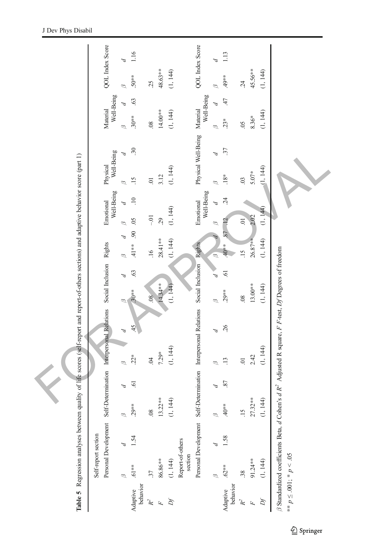|                                                                                                         |                     | QOL Index Score                                                    |               | 1.16<br>$.50**$                             | 25               | 48.63**   | (1, 144) |                  | QOL Index Score                            |                | 1.13<br>$49**$           | 24                        | $45.56**$ | (1, 144) |                                                                                                                       |
|---------------------------------------------------------------------------------------------------------|---------------------|--------------------------------------------------------------------|---------------|---------------------------------------------|------------------|-----------|----------|------------------|--------------------------------------------|----------------|--------------------------|---------------------------|-----------|----------|-----------------------------------------------------------------------------------------------------------------------|
|                                                                                                         |                     | Well-Being<br>Material                                             | Ó<br>p        | 63<br>$.30**$                               |                  | $14.00**$ | (1, 144) |                  | Well-Being<br>Material                     | 0<br>Þ         | 47                       |                           | $8.36*$   | (1, 144) |                                                                                                                       |
|                                                                                                         |                     |                                                                    | Ó<br>p        | $\ddot{.}30$                                | $\overline{0}$   |           |          |                  | Physical Well-Being                        | Ó<br>Д         | $23*$<br>.37             | $\widetilde{\mathcal{S}}$ |           |          |                                                                                                                       |
|                                                                                                         |                     | Well-Being<br>Physical                                             | $\varphi$     | $\ddot{5}$                                  | $\overline{0}$   | 3.12      | (1, 144) |                  |                                            | $\varphi$      | $18*$                    | $\ddot{0}$                | $5.07*$   | (1, 144) |                                                                                                                       |
|                                                                                                         |                     | Well-Being<br>Emotional                                            | $\varphi$     | $\overline{a}$<br>$\widetilde{\mathcal{S}}$ | $-0.1$           | 29        | (1, 144) |                  | Well-Being<br>Emotional                    | Þ<br>$\varphi$ | $\ddot{c}$               | Ξ.                        | 2.02      | (1, 144) |                                                                                                                       |
|                                                                                                         |                     |                                                                    | A<br>Ó        | $\overline{6}$<br>$41**$                    | $\overline{.}16$ | $28.41**$ | (1, 144) |                  | Rights                                     | ø              | 87<br>$.40**$            | $\overline{.15}$          | $26.87**$ | (1, 144) |                                                                                                                       |
|                                                                                                         |                     |                                                                    |               | 63                                          |                  | 14.34**   | (1, 144) |                  | Social Inclusion                           | A              | $\overline{6}$<br>$29**$ |                           | $13.00**$ | (1, 144) |                                                                                                                       |
|                                                                                                         |                     |                                                                    | ∞             | $30**$<br>$-45$                             | $.08\,$          |           |          |                  |                                            | Ó              | .26                      | 08                        |           |          |                                                                                                                       |
| quality of life scores (self-report and report-of-others sections) and adaptive behavior score (part 1) |                     | Self-Determination Interpersonal Relations Social Inclusion Rights | A<br>Ó        | $22*$                                       | S.               | 7.29*     | (1, 144) |                  | Self-Determination Interpersonal Relations | Þ<br>Ó         | $\ddot{13}$              | $\overline{a}$            | 2.42      | (1, 144) | $\beta$ Standardized coefficients Beta, d Cohen's d R <sup>2</sup> Adjusted R square, F F-test, Df Degrees of freedom |
|                                                                                                         |                     |                                                                    |               | $\ddot{\circ}$                              |                  |           |          |                  |                                            | Þ              | 87                       |                           |           |          |                                                                                                                       |
|                                                                                                         |                     |                                                                    | $\varnothing$ | $29**$                                      | 08               | $13.22**$ | (1, 144) |                  |                                            | $\varnothing$  | $40**$                   | $\ddot{5}$                | $27.32**$ | (1, 144) |                                                                                                                       |
| Table 5 Regression analyses between                                                                     | Self-report section | Personal Development                                               |               | $\ddot{54}$                                 |                  |           |          | Report-of-others | Personal Development                       |                | 1.58                     |                           |           |          |                                                                                                                       |
|                                                                                                         |                     |                                                                    | B             | $.61***$                                    | 37               | 86.86**   | (1, 144) | section          |                                            | Ó              | $.62**$                  | 38                        | 91.24 **  | (1, 144) | ** $p \le 0.001$ ; * $p < 0.05$                                                                                       |
|                                                                                                         |                     |                                                                    |               | behavior<br>Adaptive                        | $R^{\!2}$        | Ŀ         | ă        |                  |                                            |                | behavior<br>Adaptive     | $R\sp2$                   |           |          |                                                                                                                       |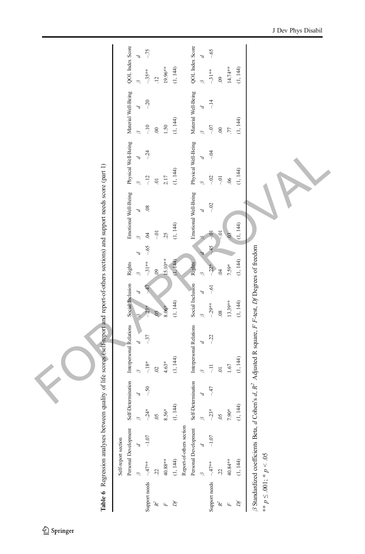| $-20$<br>$-14$<br>p<br>P<br>(1, 144)<br>1.50<br>$-10$<br>$-0.7$<br>$\odot$<br>$\odot$<br>$77\,$<br>$\overline{\mathcal{C}}$<br>B<br>Physical Well-Being<br>Physical Well-Being<br>$-24$<br>$-5$<br>p<br>P<br>(1, 144)<br>2.17<br>$-12$<br>$-02$<br>$-0.1$<br>$\overline{0}$<br>$\overline{\circ}$<br>Ó<br>d<br>Emotional Well-Being<br>Emotional Well-Being<br>$-02$<br>$\overline{08}$<br>p<br>p<br>(1, 144)<br>$-0$<br>$\overline{5}$<br>25<br>ą<br>$\ddot{5}$<br>$\overline{03}$<br>đ<br>45<br>$-0.65$<br>Þ<br>$15.10**$<br>(1, 144)<br>$-31**$<br>Rights<br>Rights<br>$7.59*$<br>$-22*$<br>$\ddot{5}$<br>$\overline{0}$<br>Ó<br>$\varnothing$<br>Social Inclusion<br>Social Inclusion<br>$-61$<br>$\overline{d}$<br>Þ<br>13.39**<br>(1, 144)<br>$-29**$<br>$23*$<br>8.06*<br>08<br>60 <sub>5</sub><br>$\overline{\mathscr{C}}$<br>Interpersonal Relations<br>Interpersonal Relations<br>$-37$<br>$-22$<br>$\overline{a}$<br>p<br>(1, 144)<br>$4.63*$<br>$-18*$<br>$1.67\,$<br>Ę<br>$\overline{\mathrm{S}}$<br>$\Xi$<br>Ø<br>B<br>Self-Determination<br>Self-Determination<br>$-50$<br>$-47$<br>p<br>$\overline{b}$<br>144<br>$7.90*$<br>$8.56*$<br>$-23*$<br>$-24*$<br>$\beta$<br>$\ddot{\circ}$<br>$\exists$<br>$\varphi$<br>$\widetilde{\mathrm{S}}$<br>Report-of-others section<br>Personal Development<br>Personal Development<br>$-1.07$<br>$-1.07$<br>Self-report section<br>$\overline{a}$<br>(1, 144)<br>$40.88**$<br>40.84**<br>$-47**$<br>$-47**$<br>22<br>$\tilde{\mathcal{L}}$<br>$\sigma$<br>đ<br>Support needs<br>Support needs<br>$\mathbb{R}^2$<br>ď<br>$\mathcal{R}^2$<br>F<br>Ŀ, |                                        |  |  |  |  |
|--------------------------------------------------------------------------------------------------------------------------------------------------------------------------------------------------------------------------------------------------------------------------------------------------------------------------------------------------------------------------------------------------------------------------------------------------------------------------------------------------------------------------------------------------------------------------------------------------------------------------------------------------------------------------------------------------------------------------------------------------------------------------------------------------------------------------------------------------------------------------------------------------------------------------------------------------------------------------------------------------------------------------------------------------------------------------------------------------------------------------------------------------------------------------------------------------------------------------------------------------------------------------------------------------------------------------------------------------------------------------------------------------------------------------------------------------------------------------------------------------------------------------------------------------------------------------------------------------------|----------------------------------------|--|--|--|--|
|                                                                                                                                                                                                                                                                                                                                                                                                                                                                                                                                                                                                                                                                                                                                                                                                                                                                                                                                                                                                                                                                                                                                                                                                                                                                                                                                                                                                                                                                                                                                                                                                        | QOL Index Score<br>Material Well-Being |  |  |  |  |
|                                                                                                                                                                                                                                                                                                                                                                                                                                                                                                                                                                                                                                                                                                                                                                                                                                                                                                                                                                                                                                                                                                                                                                                                                                                                                                                                                                                                                                                                                                                                                                                                        | $\tilde{\mathcal{C}}$                  |  |  |  |  |
|                                                                                                                                                                                                                                                                                                                                                                                                                                                                                                                                                                                                                                                                                                                                                                                                                                                                                                                                                                                                                                                                                                                                                                                                                                                                                                                                                                                                                                                                                                                                                                                                        | $-35***$                               |  |  |  |  |
|                                                                                                                                                                                                                                                                                                                                                                                                                                                                                                                                                                                                                                                                                                                                                                                                                                                                                                                                                                                                                                                                                                                                                                                                                                                                                                                                                                                                                                                                                                                                                                                                        | $\overline{12}$                        |  |  |  |  |
|                                                                                                                                                                                                                                                                                                                                                                                                                                                                                                                                                                                                                                                                                                                                                                                                                                                                                                                                                                                                                                                                                                                                                                                                                                                                                                                                                                                                                                                                                                                                                                                                        | $19.96**$                              |  |  |  |  |
|                                                                                                                                                                                                                                                                                                                                                                                                                                                                                                                                                                                                                                                                                                                                                                                                                                                                                                                                                                                                                                                                                                                                                                                                                                                                                                                                                                                                                                                                                                                                                                                                        | (1, 144)                               |  |  |  |  |
|                                                                                                                                                                                                                                                                                                                                                                                                                                                                                                                                                                                                                                                                                                                                                                                                                                                                                                                                                                                                                                                                                                                                                                                                                                                                                                                                                                                                                                                                                                                                                                                                        |                                        |  |  |  |  |
|                                                                                                                                                                                                                                                                                                                                                                                                                                                                                                                                                                                                                                                                                                                                                                                                                                                                                                                                                                                                                                                                                                                                                                                                                                                                                                                                                                                                                                                                                                                                                                                                        | QOL Index Score<br>Material Well-Being |  |  |  |  |
|                                                                                                                                                                                                                                                                                                                                                                                                                                                                                                                                                                                                                                                                                                                                                                                                                                                                                                                                                                                                                                                                                                                                                                                                                                                                                                                                                                                                                                                                                                                                                                                                        | $\tilde{\mathcal{C}}$                  |  |  |  |  |
|                                                                                                                                                                                                                                                                                                                                                                                                                                                                                                                                                                                                                                                                                                                                                                                                                                                                                                                                                                                                                                                                                                                                                                                                                                                                                                                                                                                                                                                                                                                                                                                                        | $-31**$                                |  |  |  |  |
|                                                                                                                                                                                                                                                                                                                                                                                                                                                                                                                                                                                                                                                                                                                                                                                                                                                                                                                                                                                                                                                                                                                                                                                                                                                                                                                                                                                                                                                                                                                                                                                                        | $\overline{60}$                        |  |  |  |  |
|                                                                                                                                                                                                                                                                                                                                                                                                                                                                                                                                                                                                                                                                                                                                                                                                                                                                                                                                                                                                                                                                                                                                                                                                                                                                                                                                                                                                                                                                                                                                                                                                        | $14.74***$                             |  |  |  |  |
| (1, 144)<br>(1, 144)<br>(1, 144)<br>(1, 144)<br>(1, 144)<br>(1, 144)<br>144<br>$\exists$<br>(1, 144)<br>ď                                                                                                                                                                                                                                                                                                                                                                                                                                                                                                                                                                                                                                                                                                                                                                                                                                                                                                                                                                                                                                                                                                                                                                                                                                                                                                                                                                                                                                                                                              | (1, 144)                               |  |  |  |  |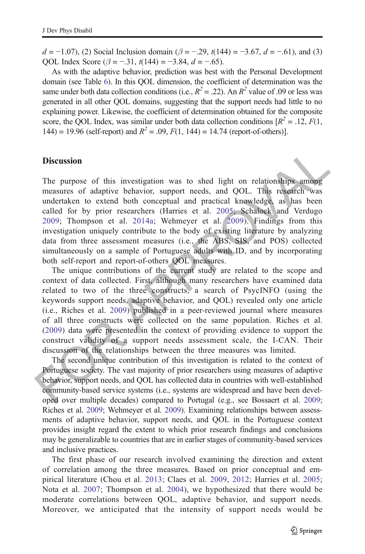$d = -1.07$ , (2) Social Inclusion domain ( $\beta = -.29$ ,  $t(144) = -3.67$ ,  $d = -.61$ ), and (3) QOL Index Score ( $\beta$  = −.31, t(144) = −3.84, d = −.65).

As with the adaptive behavior, prediction was best with the Personal Development domain (see Table 6). In this QOL dimension, the coefficient of determination was the same under both data collection conditions (i.e.,  $R^2 = .22$ ). An  $R^2$  value of .09 or less was generated in all other QOL domains, suggesting that the support needs had little to no explaining power. Likewise, the coefficient of determination obtained for the composite score, the OOL Index, was similar under both data collection conditions  $\mathbb{R}^2 = 0.12$ ,  $F(1, 0.1)$ 144) = 19.96 (self-report) and  $R^2 = .09$ ,  $F(1, 144) = 14.74$  (report-of-others)].

#### **Discussion**

The purpose of this investigation was to shed light on relationships among measures of adaptive behavior, support needs, and QOL. This research was undertaken to extend both conceptual and practical knowledge, as has been called for by prior researchers (Harries et al. 2005; Schalock and Verdugo 2009; Thompson et al. 2014a; Wehmeyer et al. 2009). Findings from this investigation uniquely contribute to the body of existing literature by analyzing data from three assessment measures (i.e., the ABS, SIS, and POS) collected simultaneously on a sample of Portuguese adults with ID, and by incorporating both self-report and report-of-others QOL measures.

**Discussion**<br>
The purpose of this investigation was to shed light on relationships among<br>
measures of adaptive behavior, support needs, and QOL. This research was<br>
undertaken to extend both conceptual and practical knowle The unique contributions of the current study are related to the scope and context of data collected. First, although many researchers have examined data related to two of the three constructs, a search of PsycINFO (using the keywords support needs, adaptive behavior, and QOL) revealed only one article (i.e., Riches et al. 2009) published in a peer-reviewed journal where measures of all three constructs were collected on the same population. Riches et al. (2009) data were presented in the context of providing evidence to support the construct validity of a support needs assessment scale, the I-CAN. Their discussion of the relationships between the three measures was limited.

The second unique contribution of this investigation is related to the context of Portuguese society. The vast majority of prior researchers using measures of adaptive behavior, support needs, and QOL has collected data in countries with well-established community-based service systems (i.e., systems are widespread and have been developed over multiple decades) compared to Portugal (e.g., see Bossaert et al. 2009; Riches et al. 2009; Wehmeyer et al. 2009). Examining relationships between assessments of adaptive behavior, support needs, and QOL in the Portuguese context provides insight regard the extent to which prior research findings and conclusions may be generalizable to countries that are in earlier stages of community-based services and inclusive practices.

The first phase of our research involved examining the direction and extent of correlation among the three measures. Based on prior conceptual and empirical literature (Chou et al. 2013; Claes et al. 2009, 2012; Harries et al. 2005; Nota et al. 2007; Thompson et al. 2004), we hypothesized that there would be moderate correlations between QOL, adaptive behavior, and support needs. Moreover, we anticipated that the intensity of support needs would be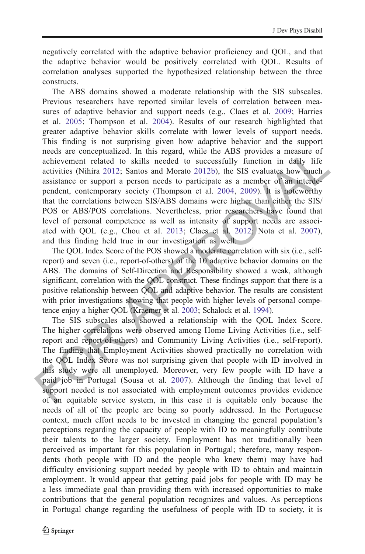negatively correlated with the adaptive behavior proficiency and QOL, and that the adaptive behavior would be positively correlated with QOL. Results of correlation analyses supported the hypothesized relationship between the three constructs.

needs are conceptualized. In this regard, while the ABS provides a measure of<br>activities (Nhira 2012; Santos and Morato 2012b), the SIS caluates how much<br>activities (Nhira 2012; Santos and Morato 2012b), the SIS valuates h The ABS domains showed a moderate relationship with the SIS subscales. Previous researchers have reported similar levels of correlation between measures of adaptive behavior and support needs (e.g., Claes et al. 2009; Harries et al. 2005; Thompson et al. 2004). Results of our research highlighted that greater adaptive behavior skills correlate with lower levels of support needs. This finding is not surprising given how adaptive behavior and the support needs are conceptualized. In this regard, while the ABS provides a measure of achievement related to skills needed to successfully function in daily life activities (Nihira 2012; Santos and Morato 2012b), the SIS evaluates how much assistance or support a person needs to participate as a member of an interdependent, contemporary society (Thompson et al. 2004, 2009). It is noteworthy that the correlations between SIS/ABS domains were higher than either the SIS/ POS or ABS/POS correlations. Nevertheless, prior researchers have found that level of personal competence as well as intensity of support needs are associated with QOL (e.g., Chou et al. 2013; Claes et al. 2012; Nota et al. 2007), and this finding held true in our investigation as well.

The QOL Index Score of the POS showed a moderate correlation with six (i.e., selfreport) and seven (i.e., report-of-others) of the 10 adaptive behavior domains on the ABS. The domains of Self-Direction and Responsibility showed a weak, although significant, correlation with the QOL construct. These findings support that there is a positive relationship between QOL and adaptive behavior. The results are consistent with prior investigations showing that people with higher levels of personal competence enjoy a higher QOL (Kraemer et al. 2003; Schalock et al. 1994).

The SIS subscales also showed a relationship with the QOL Index Score. The higher correlations were observed among Home Living Activities (i.e., selfreport and report-of-others) and Community Living Activities (i.e., self-report). The finding that Employment Activities showed practically no correlation with the QOL Index Score was not surprising given that people with ID involved in this study were all unemployed. Moreover, very few people with ID have a paid job in Portugal (Sousa et al. 2007). Although the finding that level of support needed is not associated with employment outcomes provides evidence of an equitable service system, in this case it is equitable only because the needs of all of the people are being so poorly addressed. In the Portuguese context, much effort needs to be invested in changing the general population's perceptions regarding the capacity of people with ID to meaningfully contribute their talents to the larger society. Employment has not traditionally been perceived as important for this population in Portugal; therefore, many respondents (both people with ID and the people who knew them) may have had difficulty envisioning support needed by people with ID to obtain and maintain employment. It would appear that getting paid jobs for people with ID may be a less immediate goal than providing them with increased opportunities to make contributions that the general population recognizes and values. As perceptions in Portugal change regarding the usefulness of people with ID to society, it is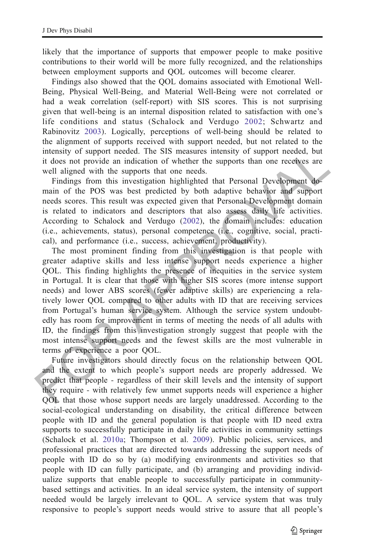likely that the importance of supports that empower people to make positive contributions to their world will be more fully recognized, and the relationships between employment supports and QOL outcomes will become clearer.

Findings also showed that the QOL domains associated with Emotional Well-Being, Physical Well-Being, and Material Well-Being were not correlated or had a weak correlation (self-report) with SIS scores. This is not surprising given that well-being is an internal disposition related to satisfaction with one's life conditions and status (Schalock and Verdugo 2002; Schwartz and Rabinovitz 2003). Logically, perceptions of well-being should be related to the alignment of supports received with support needed, but not related to the intensity of support needed. The SIS measures intensity of support needed, but it does not provide an indication of whether the supports than one receives are well aligned with the supports that one needs.

Findings from this investigation highlighted that Personal Development domain of the POS was best predicted by both adaptive behavior and support needs scores. This result was expected given that Personal Development domain is related to indicators and descriptors that also assess daily life activities. According to Schalock and Verdugo (2002), the domain includes: education (i.e., achievements, status), personal competence (i.e., cognitive, social, practical), and performance (i.e., success, achievement, productivity).

intensity of support needed. The SIS measures intensity of support needed, but<br>
it does not provide an indication of whether the supports than one receives are<br>
well aligned with the supports that one needs.<br>
Findings from The most prominent finding from this investigation is that people with greater adaptive skills and less intense support needs experience a higher QOL. This finding highlights the presence of inequities in the service system in Portugal. It is clear that those with higher SIS scores (more intense support needs) and lower ABS scores (fewer adaptive skills) are experiencing a relatively lower QOL compared to other adults with ID that are receiving services from Portugal's human service system. Although the service system undoubtedly has room for improvement in terms of meeting the needs of all adults with ID, the findings from this investigation strongly suggest that people with the most intense support needs and the fewest skills are the most vulnerable in terms of experience a poor QOL.

Future investigators should directly focus on the relationship between QOL and the extent to which people's support needs are properly addressed. We predict that people - regardless of their skill levels and the intensity of support they require - with relatively few unmet supports needs will experience a higher QOL that those whose support needs are largely unaddressed. According to the social-ecological understanding on disability, the critical difference between people with ID and the general population is that people with ID need extra supports to successfully participate in daily life activities in community settings (Schalock et al. 2010a; Thompson et al. 2009). Public policies, services, and professional practices that are directed towards addressing the support needs of people with ID do so by (a) modifying environments and activities so that people with ID can fully participate, and (b) arranging and providing individualize supports that enable people to successfully participate in communitybased settings and activities. In an ideal service system, the intensity of support needed would be largely irrelevant to QOL. A service system that was truly responsive to people's support needs would strive to assure that all people's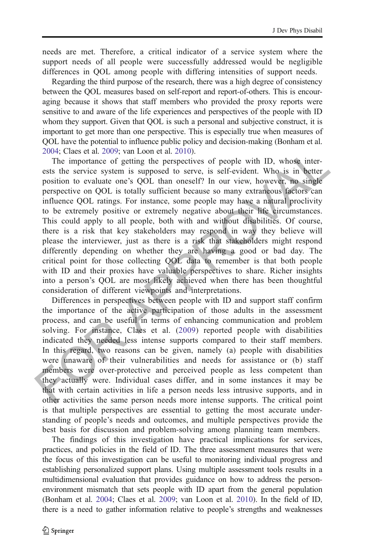needs are met. Therefore, a critical indicator of a service system where the support needs of all people were successfully addressed would be negligible differences in QOL among people with differing intensities of support needs.

Regarding the third purpose of the research, there was a high degree of consistency between the QOL measures based on self-report and report-of-others. This is encouraging because it shows that staff members who provided the proxy reports were sensitive to and aware of the life experiences and perspectives of the people with ID whom they support. Given that OOL is such a personal and subjective construct, it is important to get more than one perspective. This is especially true when measures of QOL have the potential to influence public policy and decision-making (Bonham et al. 2004; Claes et al. 2009; van Loon et al. 2010).

2004; Class et al. 2009; van Loon et al. 2010).<br>
The importance of getting the perspectives of people with D, whose inter-<br>
The importance of getting the perspectives of people with ID, whose inter-<br>
exist the service syst The importance of getting the perspectives of people with ID, whose interests the service system is supposed to serve, is self-evident. Who is in better position to evaluate one's QOL than oneself? In our view, however, no single perspective on QOL is totally sufficient because so many extraneous factors can influence QOL ratings. For instance, some people may have a natural proclivity to be extremely positive or extremely negative about their life circumstances. This could apply to all people, both with and without disabilities. Of course, there is a risk that key stakeholders may respond in way they believe will please the interviewer, just as there is a risk that stakeholders might respond differently depending on whether they are having a good or bad day. The critical point for those collecting QOL data to remember is that both people with ID and their proxies have valuable perspectives to share. Richer insights into a person's QOL are most likely achieved when there has been thoughtful consideration of different viewpoints and interpretations.

Differences in perspectives between people with ID and support staff confirm the importance of the active participation of those adults in the assessment process, and can be useful in terms of enhancing communication and problem solving. For instance, Claes et al. (2009) reported people with disabilities indicated they needed less intense supports compared to their staff members. In this regard, two reasons can be given, namely (a) people with disabilities were unaware of their vulnerabilities and needs for assistance or (b) staff members were over-protective and perceived people as less competent than they actually were. Individual cases differ, and in some instances it may be that with certain activities in life a person needs less intrusive supports, and in other activities the same person needs more intense supports. The critical point is that multiple perspectives are essential to getting the most accurate understanding of people's needs and outcomes, and multiple perspectives provide the best basis for discussion and problem-solving among planning team members.

The findings of this investigation have practical implications for services, practices, and policies in the field of ID. The three assessment measures that were the focus of this investigation can be useful to monitoring individual progress and establishing personalized support plans. Using multiple assessment tools results in a multidimensional evaluation that provides guidance on how to address the personenvironment mismatch that sets people with ID apart from the general population (Bonham et al. 2004; Claes et al. 2009; van Loon et al. 2010). In the field of ID, there is a need to gather information relative to people's strengths and weaknesses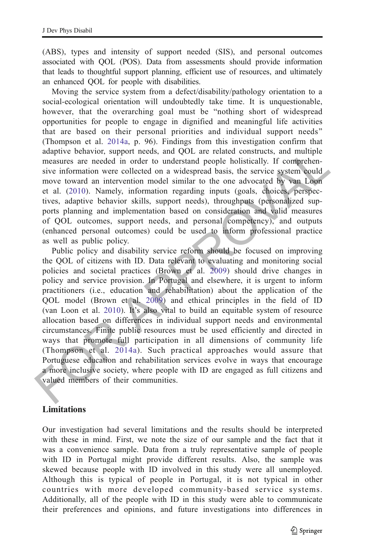(ABS), types and intensity of support needed (SIS), and personal outcomes associated with QOL (POS). Data from assessments should provide information that leads to thoughtful support planning, efficient use of resources, and ultimately an enhanced QOL for people with disabilities.

Moving the service system from a defect/disability/pathology orientation to a social-ecological orientation will undoubtedly take time. It is unquestionable, however, that the overarching goal must be "nothing short of widespread opportunities for people to engage in dignified and meaningful life activities that are based on their personal priorities and individual support needs^ (Thompson et al. 2014a, p. 96). Findings from this investigation confirm that adaptive behavior, support needs, and QOL are related constructs, and multiple measures are needed in order to understand people holistically. If comprehensive information were collected on a widespread basis, the service system could move toward an intervention model similar to the one advocated by van Loon et al. (2010). Namely, information regarding inputs (goals, choices, perspectives, adaptive behavior skills, support needs), throughputs (personalized supports planning and implementation based on consideration and valid measures of QOL outcomes, support needs, and personal competency), and outputs (enhanced personal outcomes) could be used to inform professional practice as well as public policy.

adaptive behavior, support needs, and QOL are related constructs, and multiple-<br>measures are needed in order to understand people hoiistically. If comprehen-<br>sive information were collected on a widespread basis, the serv Public policy and disability service reform should be focused on improving the QOL of citizens with ID. Data relevant to evaluating and monitoring social policies and societal practices (Brown et al. 2009) should drive changes in policy and service provision. In Portugal and elsewhere, it is urgent to inform practitioners (i.e., education and rehabilitation) about the application of the QOL model (Brown et al. 2009) and ethical principles in the field of ID (van Loon et al. 2010). It's also vital to build an equitable system of resource allocation based on differences in individual support needs and environmental circumstances. Finite public resources must be used efficiently and directed in ways that promote full participation in all dimensions of community life (Thompson et al. 2014a). Such practical approaches would assure that Portuguese education and rehabilitation services evolve in ways that encourage a more inclusive society, where people with ID are engaged as full citizens and valued members of their communities.

## Limitations

Our investigation had several limitations and the results should be interpreted with these in mind. First, we note the size of our sample and the fact that it was a convenience sample. Data from a truly representative sample of people with ID in Portugal might provide different results. Also, the sample was skewed because people with ID involved in this study were all unemployed. Although this is typical of people in Portugal, it is not typical in other countries with more developed community-based service systems. Additionally, all of the people with ID in this study were able to communicate their preferences and opinions, and future investigations into differences in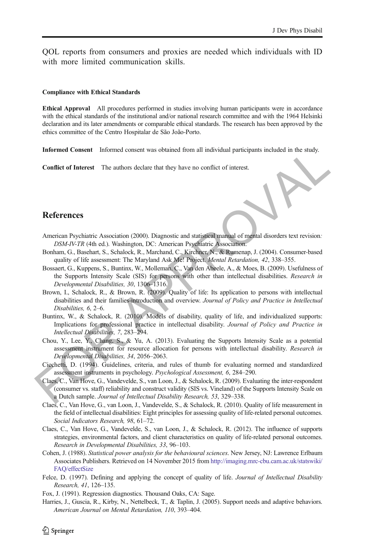QOL reports from consumers and proxies are needed which individuals with ID with more limited communication skills.

#### Compliance with Ethical Standards

Ethical Approval All procedures performed in studies involving human participants were in accordance with the ethical standards of the institutional and/or national research committee and with the 1964 Helsinki declaration and its later amendments or comparable ethical standards. The research has been approved by the ethics committee of the Centro Hospitalar de São João-Porto.

Informed Consent Informed consent was obtained from all individual participants included in the study.

Conflict of Interest The authors declare that they have no conflict of interest.

## **References**

- American Psychiatric Association (2000). Diagnostic and statistical manual of mental disorders text revision: DSM-IV-TR (4th ed.). Washington, DC: American Psychiatric Association.
- Bonham, G., Basehart, S., Schalock, R., Marchand, C., Kirchner, N., & Rumenap, J. (2004). Consumer-based quality of life assessment: The Maryland Ask Me! Project. Mental Retardation, 42, 338–355.
- Bossaert, G., Kuppens, S., Buntinx, W., Molleman, C., Van den Abeele, A., & Moes, B. (2009). Usefulness of the Supports Intensity Scale (SIS) for persons with other than intellectual disabilities. Research in Developmental Disabilities, 30, 1306–1316.
- Brown, I., Schalock, R., & Brown, R. (2009). Quality of life: Its application to persons with intellectual disabilities and their families-introduction and overview. Journal of Policy and Practice in Intellectual Disabilities, 6, 2–6.
- **Informed Consent** Informed consent was obtained from all individual participants included in the study.<br> **Conflict of Interest** The authors declare that they have no conflict of interest.<br> **APPERTORES**<br> **APPERTORES**<br> **AP** Buntinx, W., & Schalock, R. (2010). Models of disability, quality of life, and individualized supports: Implications for professional practice in intellectual disability. Journal of Policy and Practice in Intellectual Disabilities, 7, 283–294.
	- Chou, Y., Lee, Y., Chang, S., & Yu, A. (2013). Evaluating the Supports Intensity Scale as a potential assessment instrument for resource allocation for persons with intellectual disability. Research in Developmental Disabilities, 34, 2056–2063.
	- Cicchetti, D. (1994). Guidelines, criteria, and rules of thumb for evaluating normed and standardized assessment instruments in psychology. Psychological Assessment, 6, 284–290.
	- Claes, C., Van Hove, G., Vandevelde, S., van Loon, J., & Schalock, R. (2009). Evaluating the inter-respondent (consumer vs. staff) reliability and construct validity (SIS vs. Vineland) of the Supports Intensity Scale on a Dutch sample. Journal of Intellectual Disability Research, 53, 329–338.
	- Claes, C., Van Hove, G., van Loon, J., Vandevelde, S., & Schalock, R. (2010). Quality of life measurement in the field of intellectual disabilities: Eight principles for assessing quality of life-related personal outcomes. Social Indicators Research, 98, 61–72.
	- Claes, C., Van Hove, G., Vandevelde, S., van Loon, J., & Schalock, R. (2012). The influence of supports strategies, environmental factors, and client characteristics on quality of life-related personal outcomes. Research in Developmental Disabilities, 33, 96–103.
	- Cohen, J. (1988). Statistical power analysis for the behavioural sciences. New Jersey, NJ: Lawrence Erlbaum Associates Publishers. Retrieved on 14 November 2015 from http://imaging.mrc-cbu.cam.ac.uk/statswiki/ FAQ/effectSize
	- Felce, D. (1997). Defining and applying the concept of quality of life. Journal of Intellectual Disability Research, 41, 126–135.
	- Fox, J. (1991). Regression diagnostics. Thousand Oaks, CA: Sage.
	- Harries, J., Guscia, R., Kirby, N., Nettelbeck, T., & Taplin, J. (2005). Support needs and adaptive behaviors. American Journal on Mental Retardation, 110, 393–404.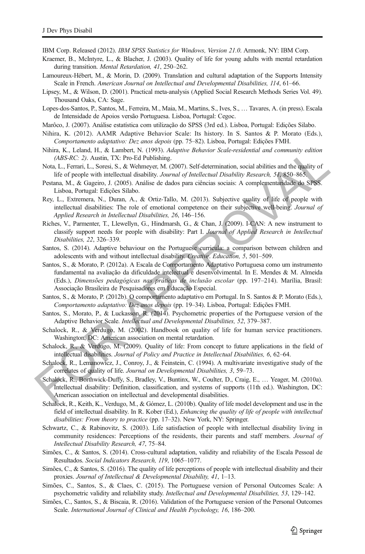IBM Corp. Released (2012). IBM SPSS Statistics for Windows, Version 21.0. Armonk, NY: IBM Corp.

- Kraemer, B., McIntyre, L., & Blacher, J. (2003). Quality of life for young adults with mental retardation during transition. Mental Retardation, 41, 250–262.
- Lamoureux-Hébert, M., & Morin, D. (2009). Translation and cultural adaptation of the Supports Intensity Scale in French. American Journal on Intellectual and Developmental Disabilities, 114, 61–66.
- Lipsey, M., & Wilson, D. (2001). Practical meta-analysis (Applied Social Research Methods Series Vol. 49). Thousand Oaks, CA: Sage.
- Lopes-dos-Santos, P., Santos, M., Ferreira, M., Maia, M., Martins, S., Ives, S., … Tavares, A. (in press). Escala de Intensidade de Apoios versão Portuguesa. Lisboa, Portugal: Cegoc.
- Marôco, J. (2007). Análise estatística com utilização do SPSS (3rd ed.). Lisboa, Portugal: Edições Silabo.
- Nihira, K. (2012). AAMR Adaptive Behavior Scale: Its history. In S. Santos & P. Morato (Eds.), Comportamento adaptativo: Dez anos depois (pp. 75–82). Lisboa, Portugal: Edições FMH.
- Nihira, K., Leland, H., & Lambert, N. (1993). Adaptive Behavior Scale-residential and community edition (ABS-RC: 2). Austin, TX: Pro-Ed Publishing.
- Nota, L., Ferrari, L., Soresi, S., & Wehmeyer, M. (2007). Self-determination, social abilities and the quality of life of people with intellectual disability. Journal of Intellectual Disability Research, 51, 850–865.
- Pestana, M., & Gageiro, J. (2005). Análise de dados para ciências sociais: A complementaridade do SPSS. Lisboa, Portugal: Edições Sílabo.
- Rey, L., Extremera, N., Duran, A., & Ortiz-Tallo, M. (2013). Subjective quality of life of people with intellectual disabilities: The role of emotional competence on their subjective well-being. Journal of Applied Research in Intellectual Disabilities, 26, 146–156.
- Riches, V., Parmenter, T., Llewellyn, G., Hindmarsh, G., & Chan, J. (2009). I-CAN: A new instrument to classify support needs for people with disability: Part I. Journal of Applied Research in Intellectual Disabilities, 22, 326–339.
- Santos, S. (2014). Adaptive behaviour on the Portuguese curricula: a comparison between children and adolescents with and without intellectual disability. Creative. Education, 5, 501–509.
- Nihin, K., Lehan, H., K. Lembert, N. (1993). Adaptive Behavior Scale-residential and community edition<br>Nota, L., Fern, I., Society, S., & Weshney, M. (2007). Self-determination, social abilities and the enably of<br>Nota, L. Santos, S., & Morato, P. (2012a). A Escala de Comportamento Adaptativo Portuguesa como um instrumento fundamental na avaliação da dificuldade intelectual e desenvolvimental. In E. Mendes & M. Almeida (Eds.), Dimensões pedagógicas nas práticas de inclusão escolar (pp. 197–214). Marília, Brasil: Associação Brasileira de Pesquisadores em Educação Especial.
	- Santos, S., & Morato, P. (2012b). O comportamento adaptativo em Portugal. In S. Santos & P. Morato (Eds.), Comportamento adaptativo: Dez anos depois (pp. 19–34). Lisboa, Portugal: Edições FMH.
	- Santos, S., Morato, P., & Luckasson, R. (2014). Psychometric properties of the Portuguese version of the Adaptive Behavior Scale. Intellectual and Developmental Disabilities, 52, 379–387.
	- Schalock, R., & Verdugo, M. (2002). Handbook on quality of life for human service practitioners. Washington, DC: American association on mental retardation.
	- Schalock, R., & Verdugo, M. (2009). Quality of life: From concept to future applications in the field of intellectual disabilities. Journal of Policy and Practice in Intellectual Disabilities, 6, 62–64.
	- Schalock, R., Lemanowicz, J., Conroy, J., & Feinstein, C. (1994). A multivariate investigative study of the correlates of quality of life. Journal on Developmental Disabilities, 3, 59–73.
	- Schalock, R., Borthwick-Duffy, S., Bradley, V., Buntinx, W., Coulter, D., Craig, E., … Yeager, M. (2010a). Intellectual disability: Definition, classification, and systems of supports (11th ed.). Washington, DC: American association on intellectual and developmental disabilities.
	- Schalock, R., Keith, K., Verdugo, M., & Gómez, L. (2010b). Quality of life model development and use in the field of intellectual disability. In R. Kober (Ed.), Enhancing the quality of life of people with intellectual disabilities: From theory to practice (pp. 17–32). New York, NY: Springer.
	- Schwartz, C., & Rabinovitz, S. (2003). Life satisfaction of people with intellectual disability living in community residences: Perceptions of the residents, their parents and staff members. Journal of Intellectual Disability Research, 47, 75–84.
	- Simões, C., & Santos, S. (2014). Cross-cultural adaptation, validity and reliability of the Escala Pessoal de Resultados. Social Indicators Research, 119, 1065–1077.
	- Simões, C., & Santos, S. (2016). The quality of life perceptions of people with intellectual disability and their proxies. Journal of Intellectual & Developmental Disability, 41, 1–13.
	- Simões, C., Santos, S., & Claes, C. (2015). The Portuguese version of Personal Outcomes Scale: A psychometric validity and reliability study. Intellectual and Developmental Disabilities, 53, 129–142.
	- Simões, C., Santos, S., & Biscaia, R. (2016). Validation of the Portuguese version of the Personal Outcomes Scale. International Journal of Clinical and Health Psychology, 16, 186–200.